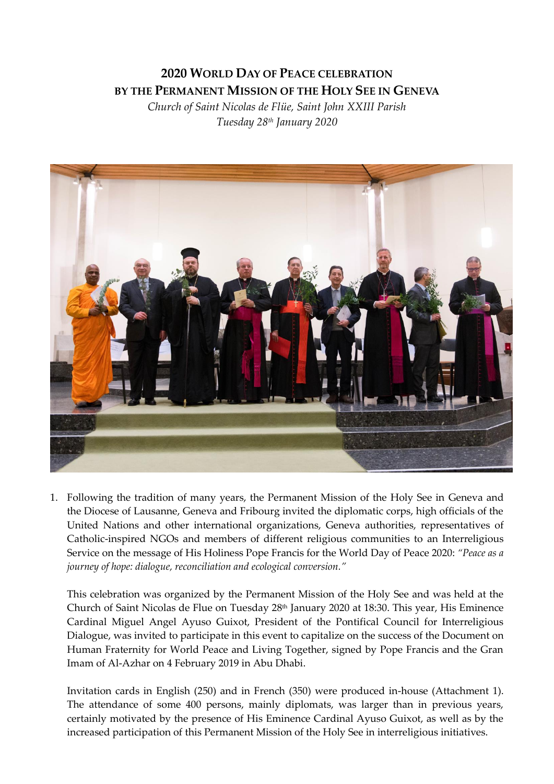## **2020 WORLD DAY OF PEACE CELEBRATION BY THE PERMANENT MISSION OF THE HOLY SEE IN GENEVA**

*Church of Saint Nicolas de Flüe, Saint John XXIII Parish Tuesday 28 th January 2020*



1. Following the tradition of many years, the Permanent Mission of the Holy See in Geneva and the Diocese of Lausanne, Geneva and Fribourg invited the diplomatic corps, high officials of the United Nations and other international organizations, Geneva authorities, representatives of Catholic-inspired NGOs and members of different religious communities to an Interreligious Service on the message of His Holiness Pope Francis for the World Day of Peace 2020: *"Peace as a journey of hope: dialogue, reconciliation and ecological conversion."*

This celebration was organized by the Permanent Mission of the Holy See and was held at the Church of Saint Nicolas de Flue on Tuesday 28<sup>th</sup> January 2020 at 18:30. This year, His Eminence Cardinal Miguel Angel Ayuso Guixot, President of the Pontifical Council for Interreligious Dialogue, was invited to participate in this event to capitalize on the success of the Document on Human Fraternity for World Peace and Living Together, signed by Pope Francis and the Gran Imam of Al-Azhar on 4 February 2019 in Abu Dhabi.

Invitation cards in English (250) and in French (350) were produced in-house (Attachment 1). The attendance of some 400 persons, mainly diplomats, was larger than in previous years, certainly motivated by the presence of His Eminence Cardinal Ayuso Guixot, as well as by the increased participation of this Permanent Mission of the Holy See in interreligious initiatives.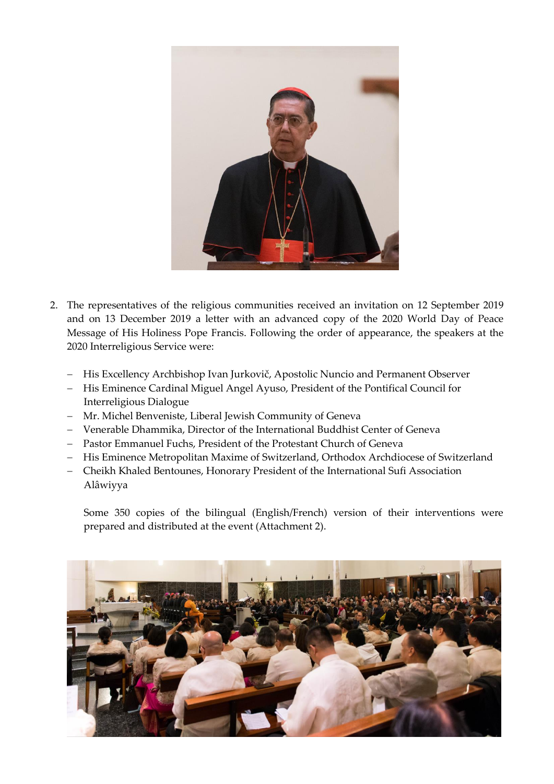

- 2. The representatives of the religious communities received an invitation on 12 September 2019 and on 13 December 2019 a letter with an advanced copy of the 2020 World Day of Peace Message of His Holiness Pope Francis. Following the order of appearance, the speakers at the 2020 Interreligious Service were:
	- − His Excellency Archbishop Ivan Jurkovič, Apostolic Nuncio and Permanent Observer
	- − His Eminence Cardinal Miguel Angel Ayuso, President of the Pontifical Council for Interreligious Dialogue
	- − Mr. Michel Benveniste, Liberal Jewish Community of Geneva
	- − Venerable Dhammika, Director of the International Buddhist Center of Geneva
	- − Pastor Emmanuel Fuchs, President of the Protestant Church of Geneva
	- − His Eminence Metropolitan Maxime of Switzerland, Orthodox Archdiocese of Switzerland
	- − Cheikh Khaled Bentounes, Honorary President of the International Sufi Association Alâwiyya

Some 350 copies of the bilingual (English/French) version of their interventions were prepared and distributed at the event (Attachment 2).

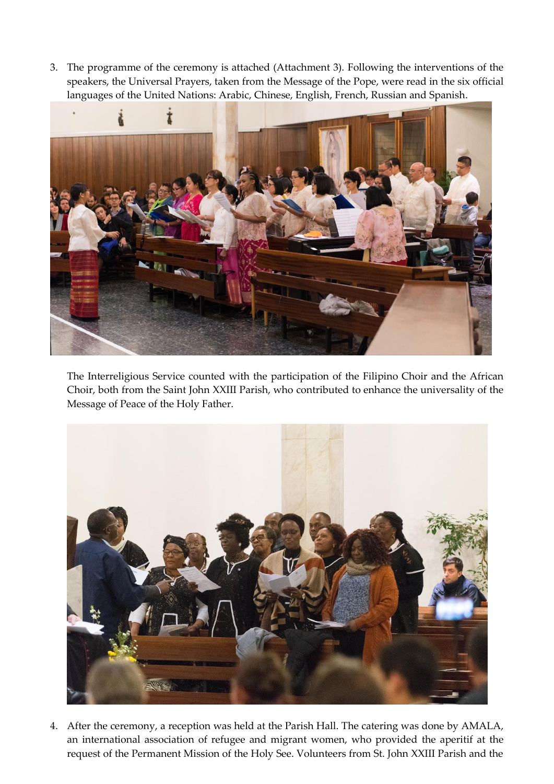3. The programme of the ceremony is attached (Attachment 3). Following the interventions of the speakers, the Universal Prayers, taken from the Message of the Pope, were read in the six official languages of the United Nations: Arabic, Chinese, English, French, Russian and Spanish.



The Interreligious Service counted with the participation of the Filipino Choir and the African Choir, both from the Saint John XXIII Parish, who contributed to enhance the universality of the Message of Peace of the Holy Father.



4. After the ceremony, a reception was held at the Parish Hall. The catering was done by AMALA, an international association of refugee and migrant women, who provided the aperitif at the request of the Permanent Mission of the Holy See. Volunteers from St. John XXIII Parish and the